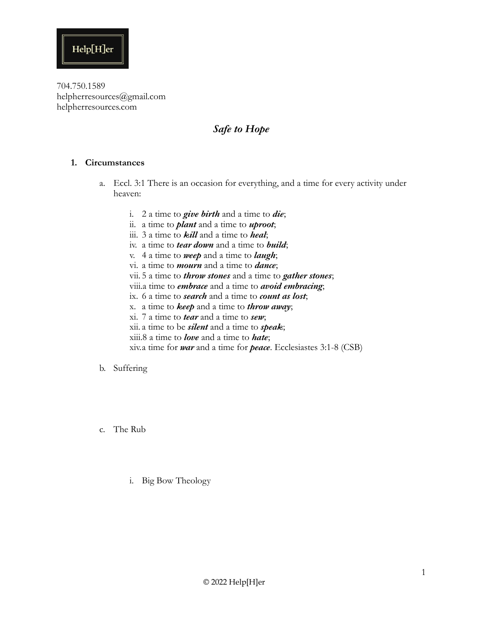

### *Safe to Hope*

### **1. Circumstances**

- a. Eccl. 3:1 There is an occasion for everything, and a time for every activity under heaven:
	- i. 2 a time to *give birth* and a time to *die*;
	- ii. a time to *plant* and a time to *uproot*;
	- iii. 3 a time to *kill* and a time to *heal*;
	- iv. a time to *tear down* and a time to *build*;
	- v. 4 a time to *weep* and a time to *laugh*;
	- vi. a time to *mourn* and a time to *dance*;
	- vii. 5 a time to *throw stones* and a time to *gather stones*;
	- viii.a time to *embrace* and a time to *avoid embracing*;
	- ix. 6 a time to *search* and a time to *count as lost*;
	- x. a time to *keep* and a time to *throw away*;
	- xi. 7 a time to *tear* and a time to *sew*;
	- xii. a time to be *silent* and a time to *speak*;
	- xiii.8 a time to *love* and a time to *hate*;
	- xiv.a time for *war* and a time for *peace*. Ecclesiastes 3:1-8 (CSB)

#### b. Suffering

- c. The Rub
	- i. Big Bow Theology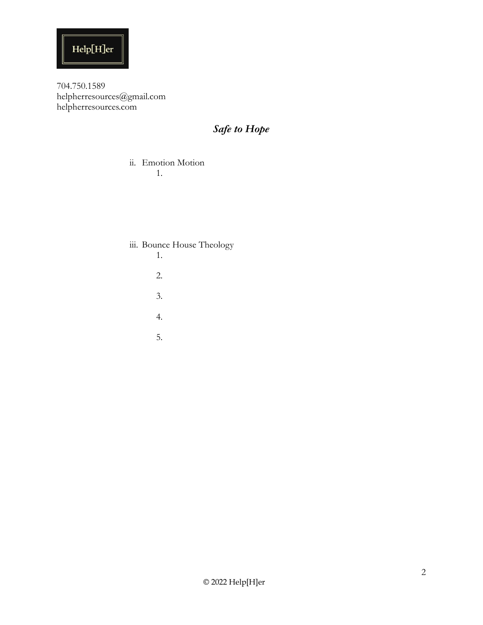

# *Safe to Hope*

#### ii. Emotion Motion 1.

### iii. Bounce House Theology

- 1.
- 2.
- 3.
- 4.
- 5.

© 2022 Help[H]er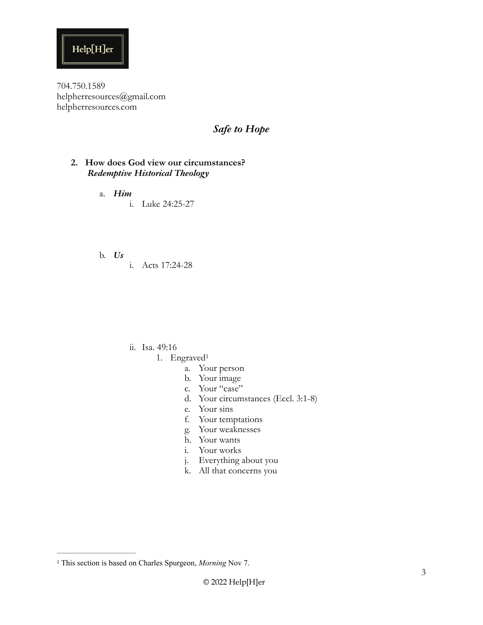

### *Safe to Hope*

#### **2. How does God view our circumstances?**  *Redemptive Historical Theology*

- a. *Him*  i. Luke 24:25-27
- b. *Us* 
	- i. Acts 17:24-28

- <span id="page-2-1"></span>ii. Isa. 49:16
	- 1. Engraved[1](#page-2-0)
		- a. Your person
		- b. Your image
		- c. Your "case"
		- d. Your circumstances (Eccl. 3:1-8)
		- e. Your sins
		- f. Your temptations
		- g. Your weaknesses
		- h. Your wants
		- i. Your works
		- j. Everything about you
		- k. All that concerns you

<span id="page-2-0"></span><sup>&</sup>lt;sup>[1](#page-2-1)</sup> This section is based on Charles Spurgeon, *Morning* Nov 7.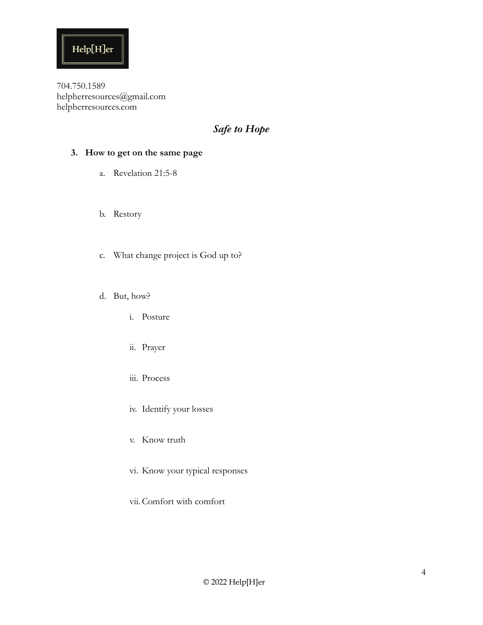

## *Safe to Hope*

### **3. How to get on the same page**

- a. Revelation 21:5-8
- b. Restory
- c. What change project is God up to?
- d. But, how?
	- i. Posture
	- ii. Prayer
	- iii. Process
	- iv. Identify your losses
	- v. Know truth
	- vi. Know your typical responses
	- vii. Comfort with comfort